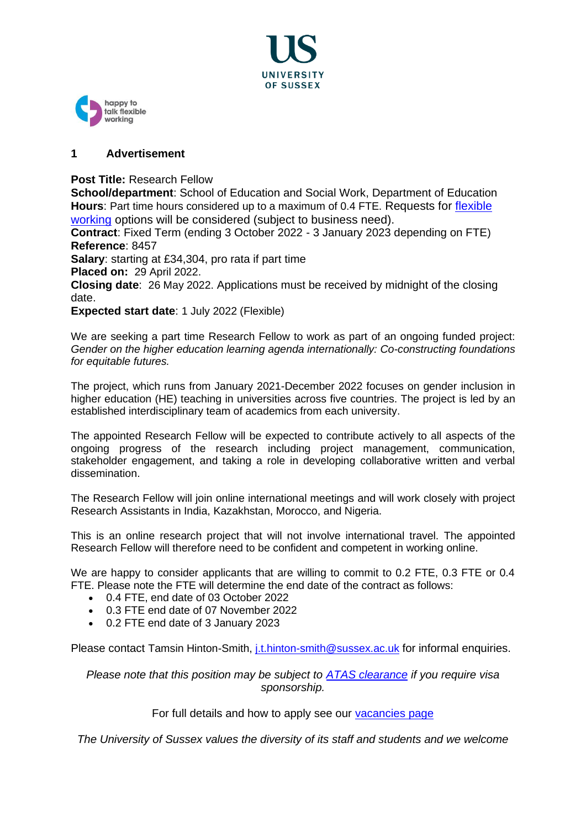



# **1 Advertisement**

**Post Title:** Research Fellow

**School/department**: School of Education and Social Work, Department of Education **Hours**: Part time hours considered up to a maximum of 0.4 FTE. Requests for [flexible](https://www.sussex.ac.uk/humanresources/business-services/flexible-working)  [working](https://www.sussex.ac.uk/humanresources/business-services/flexible-working) options will be considered (subject to business need).

**Contract**: Fixed Term (ending 3 October 2022 - 3 January 2023 depending on FTE) **Reference**: 8457

**Salary**: starting at £34,304, pro rata if part time

**Placed on:** 29 April 2022.

**Closing date**: 26 May 2022. Applications must be received by midnight of the closing date.

**Expected start date**: 1 July 2022 (Flexible)

We are seeking a part time Research Fellow to work as part of an ongoing funded project: *Gender on the higher education learning agenda internationally: Co-constructing foundations for equitable futures.*

The project, which runs from January 2021-December 2022 focuses on gender inclusion in higher education (HE) teaching in universities across five countries. The project is led by an established interdisciplinary team of academics from each university.

The appointed Research Fellow will be expected to contribute actively to all aspects of the ongoing progress of the research including project management, communication, stakeholder engagement, and taking a role in developing collaborative written and verbal dissemination.

The Research Fellow will join online international meetings and will work closely with project Research Assistants in India, Kazakhstan, Morocco, and Nigeria.

This is an online research project that will not involve international travel. The appointed Research Fellow will therefore need to be confident and competent in working online.

We are happy to consider applicants that are willing to commit to 0.2 FTE, 0.3 FTE or 0.4 FTE. Please note the FTE will determine the end date of the contract as follows:

- 0.4 FTE, end date of 03 October 2022
- 0.3 FTE end date of 07 November 2022
- 0.2 FTE end date of 3 January 2023

Please contact Tamsin Hinton-Smith, *j.t.hinton-smith@sussex.ac.uk for informal enquiries.* 

*Please note that this position may be subject to [ATAS clearance](https://www.gov.uk/guidance/academic-technology-approval-scheme) if you require visa sponsorship.*

For full details and how to apply see our vacancies page

*The University of Sussex values the diversity of its staff and students and we welcome*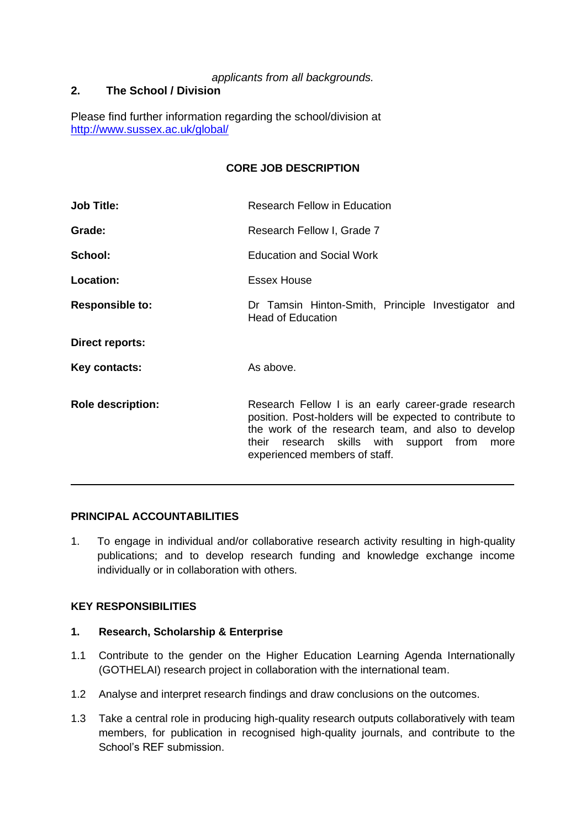# *applicants from all backgrounds.*

# **2. The School / Division**

Please find further information regarding the school/division at <http://www.sussex.ac.uk/global/>

# **CORE JOB DESCRIPTION**

| <b>Job Title:</b>        | <b>Research Fellow in Education</b>                                                                                                                                                                                                                          |
|--------------------------|--------------------------------------------------------------------------------------------------------------------------------------------------------------------------------------------------------------------------------------------------------------|
| Grade:                   | Research Fellow I, Grade 7                                                                                                                                                                                                                                   |
| School:                  | <b>Education and Social Work</b>                                                                                                                                                                                                                             |
| <b>Location:</b>         | Essex House                                                                                                                                                                                                                                                  |
| <b>Responsible to:</b>   | Dr Tamsin Hinton-Smith, Principle Investigator and<br><b>Head of Education</b>                                                                                                                                                                               |
| Direct reports:          |                                                                                                                                                                                                                                                              |
| Key contacts:            | As above.                                                                                                                                                                                                                                                    |
| <b>Role description:</b> | Research Fellow I is an early career-grade research<br>position. Post-holders will be expected to contribute to<br>the work of the research team, and also to develop<br>their research skills with<br>support from<br>more<br>experienced members of staff. |

# **PRINCIPAL ACCOUNTABILITIES**

1. To engage in individual and/or collaborative research activity resulting in high-quality publications; and to develop research funding and knowledge exchange income individually or in collaboration with others.

 $\overline{\phantom{a}}$ 

## **KEY RESPONSIBILITIES**

# **1. Research, Scholarship & Enterprise**

- 1.1 Contribute to the gender on the Higher Education Learning Agenda Internationally (GOTHELAI) research project in collaboration with the international team.
- 1.2 Analyse and interpret research findings and draw conclusions on the outcomes.
- 1.3 Take a central role in producing high-quality research outputs collaboratively with team members, for publication in recognised high-quality journals, and contribute to the School's REF submission.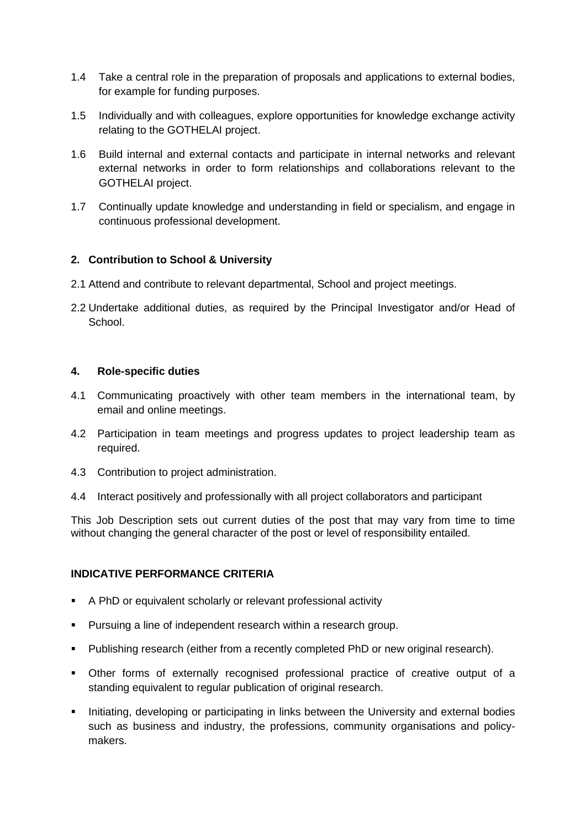- 1.4 Take a central role in the preparation of proposals and applications to external bodies, for example for funding purposes.
- 1.5 Individually and with colleagues, explore opportunities for knowledge exchange activity relating to the GOTHELAI project.
- 1.6 Build internal and external contacts and participate in internal networks and relevant external networks in order to form relationships and collaborations relevant to the GOTHELAI project.
- 1.7 Continually update knowledge and understanding in field or specialism, and engage in continuous professional development.

# **2. Contribution to School & University**

- 2.1 Attend and contribute to relevant departmental, School and project meetings.
- 2.2 Undertake additional duties, as required by the Principal Investigator and/or Head of **School**.

## **4. Role-specific duties**

- 4.1 Communicating proactively with other team members in the international team, by email and online meetings.
- 4.2 Participation in team meetings and progress updates to project leadership team as required.
- 4.3 Contribution to project administration.
- 4.4 Interact positively and professionally with all project collaborators and participant

This Job Description sets out current duties of the post that may vary from time to time without changing the general character of the post or level of responsibility entailed.

## **INDICATIVE PERFORMANCE CRITERIA**

- A PhD or equivalent scholarly or relevant professional activity
- Pursuing a line of independent research within a research group.
- Publishing research (either from a recently completed PhD or new original research).
- Other forms of externally recognised professional practice of creative output of a standing equivalent to regular publication of original research.
- **•** Initiating, developing or participating in links between the University and external bodies such as business and industry, the professions, community organisations and policymakers.